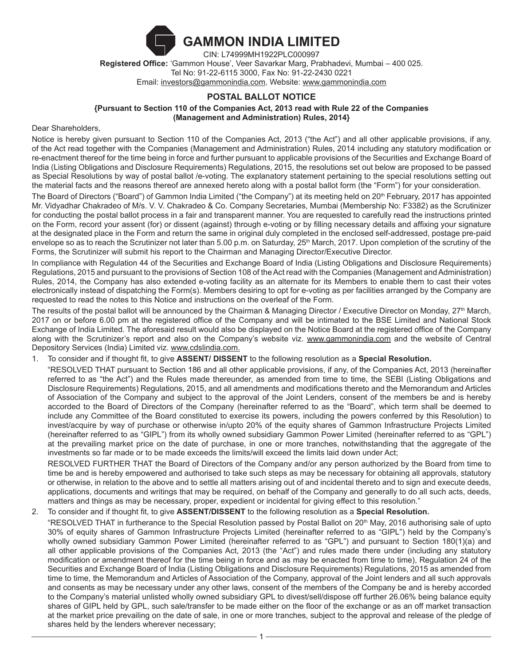

**Registered Office:** 'Gammon House', Veer Savarkar Marg, Prabhadevi, Mumbai – 400 025. Tel No: 91-22-6115 3000, Fax No: 91-22-2430 0221 Email: investors@gammonindia.com, Website: www.gammonindia.com

# **POSTAL BALLOT NOTICE**

**{Pursuant to Section 110 of the Companies Act, 2013 read with Rule 22 of the Companies (Management and Administration) Rules, 2014}**

Dear Shareholders,

Notice is hereby given pursuant to Section 110 of the Companies Act, 2013 ("the Act") and all other applicable provisions, if any, of the Act read together with the Companies (Management and Administration) Rules, 2014 including any statutory modification or re-enactment thereof for the time being in force and further pursuant to applicable provisions of the Securities and Exchange Board of India (Listing Obligations and Disclosure Requirements) Regulations, 2015, the resolutions set out below are proposed to be passed as Special Resolutions by way of postal ballot /e-voting. The explanatory statement pertaining to the special resolutions setting out the material facts and the reasons thereof are annexed hereto along with a postal ballot form (the "Form") for your consideration.

The Board of Directors ("Board") of Gammon India Limited ("the Company") at its meeting held on 20<sup>th</sup> February, 2017 has appointed Mr. Vidyadhar Chakradeo of M/s. V. V. Chakradeo & Co. Company Secretaries, Mumbai (Membership No: F3382) as the Scrutinizer for conducting the postal ballot process in a fair and transparent manner. You are requested to carefully read the instructions printed on the Form, record your assent (for) or dissent (against) through e-voting or by filling necessary details and affixing your signature at the designated place in the Form and return the same in original duly completed in the enclosed self-addressed, postage pre-paid envelope so as to reach the Scrutinizer not later than 5.00 p.m. on Saturday, 25<sup>th</sup> March, 2017. Upon completion of the scrutiny of the Forms, the Scrutinizer will submit his report to the Chairman and Managing Director/Executive Director.

In compliance with Regulation 44 of the Securities and Exchange Board of India (Listing Obligations and Disclosure Requirements) Regulations, 2015 and pursuant to the provisions of Section 108 of the Act read with the Companies (Management and Administration) Rules, 2014, the Company has also extended e-voting facility as an alternate for its Members to enable them to cast their votes electronically instead of dispatching the Form(s). Members desiring to opt for e-voting as per facilities arranged by the Company are requested to read the notes to this Notice and instructions on the overleaf of the Form.

The results of the postal ballot will be announced by the Chairman & Managing Director / Executive Director on Monday, 27<sup>th</sup> March, 2017 on or before 6.00 pm at the registered office of the Company and will be intimated to the BSE Limited and National Stock Exchange of India Limited. The aforesaid result would also be displayed on the Notice Board at the registered office of the Company along with the Scrutinizer's report and also on the Company's website viz. www.gammonindia.com and the website of Central Depository Services (India) Limited viz. www.cdslindia.com.

1. To consider and if thought fit, to give **ASSENT/ DISSENT** to the following resolution as a **Special Resolution.**

"RESOLVED THAT pursuant to Section 186 and all other applicable provisions, if any, of the Companies Act, 2013 (hereinafter referred to as "the Act") and the Rules made thereunder, as amended from time to time, the SEBI (Listing Obligations and Disclosure Requirements) Regulations, 2015, and all amendments and modifications thereto and the Memorandum and Articles of Association of the Company and subject to the approval of the Joint Lenders, consent of the members be and is hereby accorded to the Board of Directors of the Company (hereinafter referred to as the "Board", which term shall be deemed to include any Committee of the Board constituted to exercise its powers, including the powers conferred by this Resolution) to invest/acquire by way of purchase or otherwise in/upto 20% of the equity shares of Gammon Infrastructure Projects Limited (hereinafter referred to as "GIPL") from its wholly owned subsidiary Gammon Power Limited (hereinafter referred to as "GPL") at the prevailing market price on the date of purchase, in one or more tranches, notwithstanding that the aggregate of the investments so far made or to be made exceeds the limits/will exceed the limits laid down under Act;

RESOLVED FURTHER THAT the Board of Directors of the Company and/or any person authorized by the Board from time to time be and is hereby empowered and authorised to take such steps as may be necessary for obtaining all approvals, statutory or otherwise, in relation to the above and to settle all matters arising out of and incidental thereto and to sign and execute deeds, applications, documents and writings that may be required, on behalf of the Company and generally to do all such acts, deeds, matters and things as may be necessary, proper, expedient or incidental for giving effect to this resolution."

## 2. To consider and if thought fit, to give **ASSENT/DISSENT** to the following resolution as a **Special Resolution.**

"RESOLVED THAT in furtherance to the Special Resolution passed by Postal Ballot on 20<sup>th</sup> May, 2016 authorising sale of upto 30% of equity shares of Gammon Infrastructure Projects Limited (hereinafter referred to as "GIPL") held by the Company's wholly owned subsidiary Gammon Power Limited (hereinafter referred to as "GPL") and pursuant to Section 180(1)(a) and all other applicable provisions of the Companies Act, 2013 (the "Act") and rules made there under (including any statutory modification or amendment thereof for the time being in force and as may be enacted from time to time), Regulation 24 of the Securities and Exchange Board of India (Listing Obligations and Disclosure Requirements) Regulations, 2015 as amended from time to time, the Memorandum and Articles of Association of the Company, approval of the Joint lenders and all such approvals and consents as may be necessary under any other laws, consent of the members of the Company be and is hereby accorded to the Company's material unlisted wholly owned subsidiary GPL to divest/sell/dispose off further 26.06% being balance equity shares of GIPL held by GPL, such sale/transfer to be made either on the floor of the exchange or as an off market transaction at the market price prevailing on the date of sale, in one or more tranches, subject to the approval and release of the pledge of shares held by the lenders wherever necessary;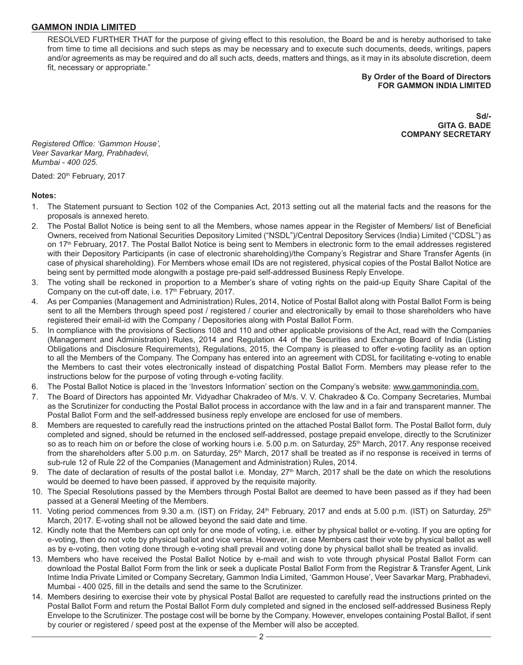RESOLVED FURTHER THAT for the purpose of giving effect to this resolution, the Board be and is hereby authorised to take from time to time all decisions and such steps as may be necessary and to execute such documents, deeds, writings, papers and/or agreements as may be required and do all such acts, deeds, matters and things, as it may in its absolute discretion, deem fit, necessary or appropriate."

#### **By Order of the Board of Directors FOR GAMMON INDIA LIMITED**

**Sd/- GITA G. BADE COMPANY SECRETARY**

*Registered Office: 'Gammon House', Veer Savarkar Marg, Prabhadevi, Mumbai - 400 025.*

Dated: 20<sup>th</sup> February, 2017

#### **Notes:**

- 1. The Statement pursuant to Section 102 of the Companies Act, 2013 setting out all the material facts and the reasons for the proposals is annexed hereto.
- 2. The Postal Ballot Notice is being sent to all the Members, whose names appear in the Register of Members/ list of Beneficial Owners, received from National Securities Depository Limited ("NSDL")/Central Depository Services (India) Limited ("CDSL") as on 17<sup>th</sup> February, 2017. The Postal Ballot Notice is being sent to Members in electronic form to the email addresses registered with their Depository Participants (in case of electronic shareholding)/the Company's Registrar and Share Transfer Agents (in case of physical shareholding). For Members whose email IDs are not registered, physical copies of the Postal Ballot Notice are being sent by permitted mode alongwith a postage pre-paid self-addressed Business Reply Envelope.
- 3. The voting shall be reckoned in proportion to a Member's share of voting rights on the paid-up Equity Share Capital of the Company on the cut-off date, i.e. 17<sup>th</sup> February, 2017.
- 4. As per Companies (Management and Administration) Rules, 2014, Notice of Postal Ballot along with Postal Ballot Form is being sent to all the Members through speed post / registered / courier and electronically by email to those shareholders who have registered their email-id with the Company / Depositories along with Postal Ballot Form.
- 5. In compliance with the provisions of Sections 108 and 110 and other applicable provisions of the Act, read with the Companies (Management and Administration) Rules, 2014 and Regulation 44 of the Securities and Exchange Board of India (Listing Obligations and Disclosure Requirements), Regulations, 2015, the Company is pleased to offer e-voting facility as an option to all the Members of the Company. The Company has entered into an agreement with CDSL for facilitating e-voting to enable the Members to cast their votes electronically instead of dispatching Postal Ballot Form. Members may please refer to the instructions below for the purpose of voting through e-voting facility.
- 6. The Postal Ballot Notice is placed in the 'Investors Information' section on the Company's website: www.gammonindia.com.
- 7. The Board of Directors has appointed Mr. Vidyadhar Chakradeo of M/s. V. V. Chakradeo & Co. Company Secretaries, Mumbai as the Scrutinizer for conducting the Postal Ballot process in accordance with the law and in a fair and transparent manner. The Postal Ballot Form and the self-addressed business reply envelope are enclosed for use of members.
- 8. Members are requested to carefully read the instructions printed on the attached Postal Ballot form. The Postal Ballot form, duly completed and signed, should be returned in the enclosed self-addressed, postage prepaid envelope, directly to the Scrutinizer so as to reach him on or before the close of working hours i.e. 5.00 p.m. on Saturday, 25<sup>th</sup> March, 2017. Any response received from the shareholders after 5.00 p.m. on Saturday, 25<sup>th</sup> March, 2017 shall be treated as if no response is received in terms of sub-rule 12 of Rule 22 of the Companies (Management and Administration) Rules, 2014.
- 9. The date of declaration of results of the postal ballot i.e. Monday, 27<sup>th</sup> March, 2017 shall be the date on which the resolutions would be deemed to have been passed, if approved by the requisite majority.
- 10. The Special Resolutions passed by the Members through Postal Ballot are deemed to have been passed as if they had been passed at a General Meeting of the Members.
- 11. Voting period commences from 9.30 a.m. (IST) on Friday, 24<sup>th</sup> February, 2017 and ends at 5.00 p.m. (IST) on Saturday, 25<sup>th</sup> March, 2017. E-voting shall not be allowed beyond the said date and time.
- 12. Kindly note that the Members can opt only for one mode of voting, i.e. either by physical ballot or e-voting. If you are opting for e-voting, then do not vote by physical ballot and vice versa. However, in case Members cast their vote by physical ballot as well as by e-voting, then voting done through e-voting shall prevail and voting done by physical ballot shall be treated as invalid.
- 13. Members who have received the Postal Ballot Notice by e-mail and wish to vote through physical Postal Ballot Form can download the Postal Ballot Form from the link or seek a duplicate Postal Ballot Form from the Registrar & Transfer Agent, Link Intime India Private Limited or Company Secretary, Gammon India Limited, 'Gammon House', Veer Savarkar Marg, Prabhadevi, Mumbai - 400 025, fill in the details and send the same to the Scrutinizer.
- 14. Members desiring to exercise their vote by physical Postal Ballot are requested to carefully read the instructions printed on the Postal Ballot Form and return the Postal Ballot Form duly completed and signed in the enclosed self-addressed Business Reply Envelope to the Scrutinizer. The postage cost will be borne by the Company. However, envelopes containing Postal Ballot, if sent by courier or registered / speed post at the expense of the Member will also be accepted.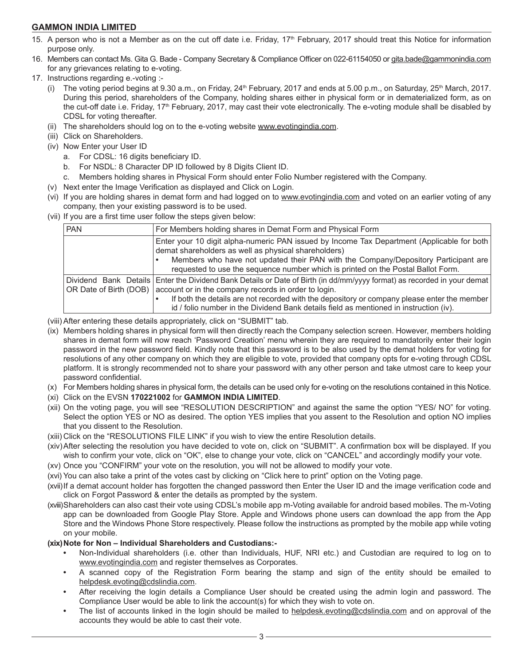- 15. A person who is not a Member as on the cut off date i.e. Friday, 17<sup>th</sup> February, 2017 should treat this Notice for information purpose only.
- 16. Members can contact Ms. Gita G. Bade Company Secretary & Compliance Officer on 022-61154050 or gita.bade@gammonindia.com for any grievances relating to e-voting.
- 17. Instructions regarding e.-voting :-
	- The voting period begins at 9.30 a.m., on Friday,  $24th$  February, 2017 and ends at 5.00 p.m., on Saturday,  $25th$  March, 2017. During this period, shareholders of the Company, holding shares either in physical form or in dematerialized form, as on the cut-off date i.e. Friday, 17<sup>th</sup> February, 2017, may cast their vote electronically. The e-voting module shall be disabled by CDSL for voting thereafter.
	- (ii) The shareholders should log on to the e-voting website www.evotingindia.com.
	- (iii) Click on Shareholders.
	- (iv) Now Enter your User ID
		- a. For CDSL: 16 digits beneficiary ID.
		- b. For NSDL: 8 Character DP ID followed by 8 Digits Client ID.
		- c. Members holding shares in Physical Form should enter Folio Number registered with the Company.
	- (v) Next enter the Image Verification as displayed and Click on Login.
	- (vi) If you are holding shares in demat form and had logged on to www.evotingindia.com and voted on an earlier voting of any company, then your existing password is to be used.
	- (vii) If you are a first time user follow the steps given below:

| <b>PAN</b>             | For Members holding shares in Demat Form and Physical Form                                                                                                                                                                                                                                                                                                                 |  |  |
|------------------------|----------------------------------------------------------------------------------------------------------------------------------------------------------------------------------------------------------------------------------------------------------------------------------------------------------------------------------------------------------------------------|--|--|
|                        | Enter your 10 digit alpha-numeric PAN issued by Income Tax Department (Applicable for both<br>demat shareholders as well as physical shareholders)<br>Members who have not updated their PAN with the Company/Depository Participant are<br>requested to use the sequence number which is printed on the Postal Ballot Form.                                               |  |  |
| OR Date of Birth (DOB) | Dividend Bank Details   Enter the Dividend Bank Details or Date of Birth (in dd/mm/yyyy format) as recorded in your demat<br>account or in the company records in order to login.<br>If both the details are not recorded with the depository or company please enter the member<br>id / folio number in the Dividend Bank details field as mentioned in instruction (iv). |  |  |

- (viii) After entering these details appropriately, click on "SUBMIT" tab.
- (ix) Members holding shares in physical form will then directly reach the Company selection screen. However, members holding shares in demat form will now reach 'Password Creation' menu wherein they are required to mandatorily enter their login password in the new password field. Kindly note that this password is to be also used by the demat holders for voting for resolutions of any other company on which they are eligible to vote, provided that company opts for e-voting through CDSL platform. It is strongly recommended not to share your password with any other person and take utmost care to keep your password confidential.
- (x) For Members holding shares in physical form, the details can be used only for e-voting on the resolutions contained in this Notice.
- (xi) Click on the EVSN **170221002** for **GAMMON INDIA LIMITED**.
- (xii) On the voting page, you will see "RESOLUTION DESCRIPTION" and against the same the option "YES/ NO" for voting. Select the option YES or NO as desired. The option YES implies that you assent to the Resolution and option NO implies that you dissent to the Resolution.
- (xiii) Click on the "RESOLUTIONS FILE LINK" if you wish to view the entire Resolution details.
- (xiv)After selecting the resolution you have decided to vote on, click on "SUBMIT". A confirmation box will be displayed. If you wish to confirm your vote, click on "OK", else to change your vote, click on "CANCEL" and accordingly modify your vote.
- (xv) Once you "CONFIRM" your vote on the resolution, you will not be allowed to modify your vote.
- (xvi) You can also take a print of the votes cast by clicking on "Click here to print" option on the Voting page.
- (xvii)If a demat account holder has forgotten the changed password then Enter the User ID and the image verification code and click on Forgot Password & enter the details as prompted by the system.
- (xviii)Shareholders can also cast their vote using CDSL's mobile app m-Voting available for android based mobiles. The m-Voting app can be downloaded from Google Play Store. Apple and Windows phone users can download the app from the App Store and the Windows Phone Store respectively. Please follow the instructions as prompted by the mobile app while voting on your mobile.

#### (xix) Note for Non - Individual Shareholders and Custodians:-

- **•** Non-Individual shareholders (i.e. other than Individuals, HUF, NRI etc.) and Custodian are required to log on to www.evotingindia.com and register themselves as Corporates.
- **•** A scanned copy of the Registration Form bearing the stamp and sign of the entity should be emailed to helpdesk.evoting@cdslindia.com.
- **•** After receiving the login details a Compliance User should be created using the admin login and password. The Compliance User would be able to link the account(s) for which they wish to vote on.
- The list of accounts linked in the login should be mailed to helpdesk.evoting@cdslindia.com and on approval of the accounts they would be able to cast their vote.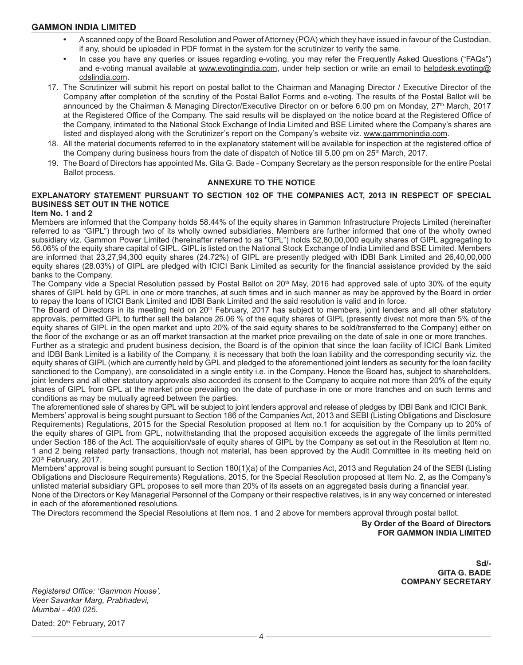- **•** A scanned copy of the Board Resolution and Power of Attorney (POA) which they have issued in favour of the Custodian, if any, should be uploaded in PDF format in the system for the scrutinizer to verify the same.
- **•** In case you have any queries or issues regarding e-voting, you may refer the Frequently Asked Questions ("FAQs") and e-voting manual available at www.evotingindia.com, under help section or write an email to helpdesk.evoting@ cdslindia.com.
- 17. The Scrutinizer will submit his report on postal ballot to the Chairman and Managing Director / Executive Director of the Company after completion of the scrutiny of the Postal Ballot Forms and e-voting. The results of the Postal Ballot will be announced by the Chairman & Managing Director/Executive Director on or before 6.00 pm on Monday, 27<sup>th</sup> March, 2017 at the Registered Office of the Company. The said results will be displayed on the notice board at the Registered Office of the Company, intimated to the National Stock Exchange of India Limited and BSE Limited where the Company's shares are listed and displayed along with the Scrutinizer's report on the Company's website viz. www.gammonindia.com.
- 18. All the material documents referred to in the explanatory statement will be available for inspection at the registered office of the Company during business hours from the date of dispatch of Notice till 5.00 pm on 25<sup>th</sup> March, 2017.
- 19. The Board of Directors has appointed Ms. Gita G. Bade Company Secretary as the person responsible for the entire Postal Ballot process.

#### **ANNEXURE TO THE NOTICE**

## **EXPLANATORY STATEMENT PURSUANT TO SECTION 102 OF THE COMPANIES ACT, 2013 IN RESPECT OF SPECIAL BUSINESS SET OUT IN THE NOTICE**

#### **Item No. 1 and 2**

Members are informed that the Company holds 58.44% of the equity shares in Gammon Infrastructure Projects Limited (hereinafter referred to as "GIPL") through two of its wholly owned subsidiaries. Members are further informed that one of the wholly owned subsidiary viz. Gammon Power Limited (hereinafter referred to as "GPL") holds 52,80,00,000 equity shares of GIPL aggregating to 56.06% of the equity share capital of GIPL. GIPL is listed on the National Stock Exchange of India Limited and BSE Limited. Members are informed that 23,27,94,300 equity shares (24.72%) of GIPL are presently pledged with IDBI Bank Limited and 26,40,00,000 equity shares (28.03%) of GIPL are pledged with ICICI Bank Limited as security for the financial assistance provided by the said banks to the Company.

The Company vide a Special Resolution passed by Postal Ballot on 20<sup>th</sup> May, 2016 had approved sale of upto 30% of the equity shares of GIPL held by GPL in one or more tranches, at such times and in such manner as may be approved by the Board in order to repay the loans of ICICI Bank Limited and IDBI Bank Limited and the said resolution is valid and in force.

The Board of Directors in its meeting held on 20<sup>th</sup> February, 2017 has subject to members, joint lenders and all other statutory approvals, permitted GPL to further sell the balance 26.06 % of the equity shares of GIPL (presently divest not more than 5% of the equity shares of GIPL in the open market and upto 20% of the said equity shares to be sold/transferred to the Company) either on the floor of the exchange or as an off market transaction at the market price prevailing on the date of sale in one or more tranches.

Further as a strategic and prudent business decision, the Board is of the opinion that since the loan facility of ICICI Bank Limited and IDBI Bank Limited is a liability of the Company, it is necessary that both the loan liability and the corresponding security viz. the equity shares of GIPL (which are currently held by GPL and pledged to the aforementioned joint lenders as security for the loan facility sanctioned to the Company), are consolidated in a single entity i.e. in the Company. Hence the Board has, subject to shareholders, joint lenders and all other statutory approvals also accorded its consent to the Company to acquire not more than 20% of the equity shares of GIPL from GPL at the market price prevailing on the date of purchase in one or more tranches and on such terms and conditions as may be mutually agreed between the parties.

The aforementioned sale of shares by GPL will be subject to joint lenders approval and release of pledges by IDBI Bank and ICICI Bank. Members' approval is being sought pursuant to Section 186 of the Companies Act, 2013 and SEBI (Listing Obligations and Disclosure Requirements) Regulations, 2015 for the Special Resolution proposed at Item no.1 for acquisition by the Company up to 20% of the equity shares of GIPL from GPL, notwithstanding that the proposed acquisition exceeds the aggregate of the limits permitted under Section 186 of the Act. The acquisition/sale of equity shares of GIPL by the Company as set out in the Resolution at Item no. 1 and 2 being related party transactions, though not material, has been approved by the Audit Committee in its meeting held on 20<sup>th</sup> February, 2017.

Members' approval is being sought pursuant to Section 180(1)(a) of the Companies Act, 2013 and Regulation 24 of the SEBI (Listing Obligations and Disclosure Requirements) Regulations, 2015, for the Special Resolution proposed at Item No. 2, as the Company's unlisted material subsidiary GPL proposes to sell more than 20% of its assets on an aggregated basis during a financial year. None of the Directors or Key Managerial Personnel of the Company or their respective relatives, is in any way concerned or interested in each of the aforementioned resolutions.

The Directors recommend the Special Resolutions at Item nos. 1 and 2 above for members approval through postal ballot.

## **By Order of the Board of Directors FOR GAMMON INDIA LIMITED**

**Sd/- GITA G. BADE COMPANY SECRETARY**

*Registered Office: 'Gammon House', Veer Savarkar Marg, Prabhadevi, Mumbai - 400 025.*

Dated: 20<sup>th</sup> February, 2017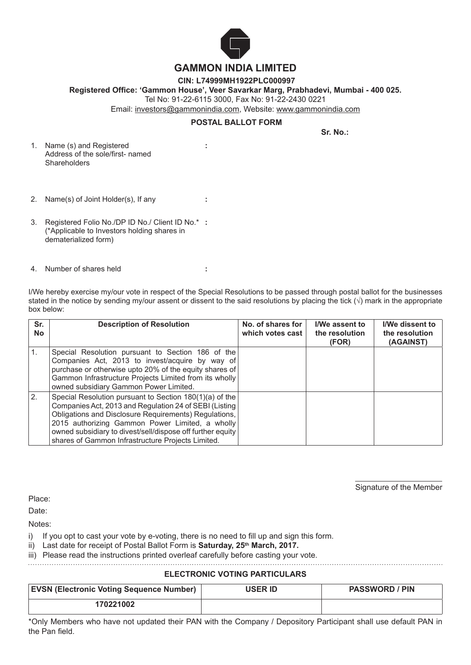

 **CIN: L74999MH1922PLC000997**

**Registered Office: 'Gammon House', Veer Savarkar Marg, Prabhadevi, Mumbai - 400 025.**

Tel No: 91-22-6115 3000, Fax No: 91-22-2430 0221

**:**

Email: investors@gammonindia.com, Website: www.gammonindia.com

# **POSTAL BALLOT FORM**

**Sr. No.:**

- 1. Name (s) and Registered Address of the sole/first- named **Shareholders**
- 2. Name(s) of Joint Holder(s), If any **:**
- 3. Registered Folio No./DP ID No./ Client ID No.\* **:** (\*Applicable to Investors holding shares in dematerialized form)
- 4. Number of shares held **:**

I/We hereby exercise my/our vote in respect of the Special Resolutions to be passed through postal ballot for the businesses stated in the notice by sending my/our assent or dissent to the said resolutions by placing the tick  $(\sqrt)$  mark in the appropriate box below:

| Sr.<br><b>No</b> | <b>Description of Resolution</b>                                                                                                                                                                                                                                                                                                                 | No. of shares for<br>which votes cast | I/We assent to<br>the resolution<br>(FOR) | <b>I/We dissent to</b><br>the resolution<br>(AGAINST) |
|------------------|--------------------------------------------------------------------------------------------------------------------------------------------------------------------------------------------------------------------------------------------------------------------------------------------------------------------------------------------------|---------------------------------------|-------------------------------------------|-------------------------------------------------------|
|                  | Special Resolution pursuant to Section 186 of the<br>Companies Act, 2013 to invest/acquire by way of<br>purchase or otherwise upto 20% of the equity shares of<br>Gammon Infrastructure Projects Limited from its wholly<br>owned subsidiary Gammon Power Limited.                                                                               |                                       |                                           |                                                       |
| 2.               | Special Resolution pursuant to Section 180(1)(a) of the<br>Companies Act, 2013 and Regulation 24 of SEBI (Listing<br>Obligations and Disclosure Requirements) Regulations,<br>2015 authorizing Gammon Power Limited, a wholly<br>owned subsidiary to divest/sell/dispose off further equity<br>shares of Gammon Infrastructure Projects Limited. |                                       |                                           |                                                       |

Signature of the Member

Place:

Date:

Notes:

i) If you opt to cast your vote by e-voting, there is no need to fill up and sign this form.

ii) Last date for receipt of Postal Ballot Form is **Saturday, 25<sup>th</sup> March, 2017.** 

iii) Please read the instructions printed overleaf carefully before casting your vote.

# **ELECTRONIC VOTING PARTICULARS**

| <b>EVSN (Electronic Voting Sequence Number)</b> | <b>USER ID</b> | <b>PASSWORD / PIN</b> |
|-------------------------------------------------|----------------|-----------------------|
| 170221002                                       |                |                       |

\*Only Members who have not updated their PAN with the Company / Depository Participant shall use default PAN in the Pan field.